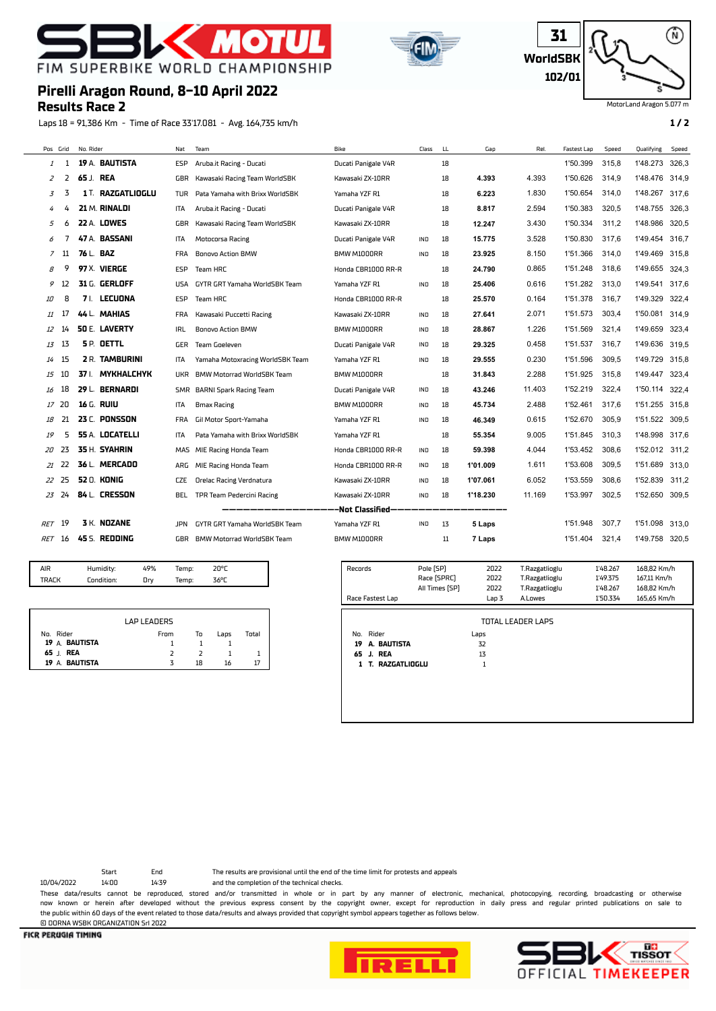

**Pirelli Aragon Round, 8-10 April 2022**

**Results Race 2**





MotorLand Aragon 5.077 m

Laps 18 = 91,386 Km - Time of Race 33'17.081 - Avg. 164,735 km/h **1 / 2** Pos Grid No. Rider Nat Team Bike Class LL Gap Rel. Fastest Lap Speed Qualifying Speed 1 **19** A. **BAUTISTA** ESP Aruba.it Racing - Ducati Ducati Panigale V4R 18 1'50.399 315,8 1'48.273 326,3 2 **65** J. **REA** GBR Kawasaki Racing Team WorldSBK Kawasaki ZX-10RR 18 **4.393** 4.393 1'50.626 314,9 1'48.476 314,9 3 **1** T. **RAZGATLIOGLU** TUR Pata Yamaha with Brixx WorldSBK Yamaha YZF R1 18 **6.223** 1.830 1'50.654 314,0 1'48.267 317,6 4 **21** M. **RINALDI** ITA Aruba.it Racing - Ducati Ducati Panigale V4R 18 **8.817** 2.594 1'50.383 320,5 1'48.755 326,3 6 **22** A. **LOWES** GBR Kawasaki Racing Team WorldSBK Kawasaki ZX-10RR 18 **12.247** 3.430 1'50.334 311,2 1'48.986 320,5

|        |               |           | 47 A. BASSANI      | <b>ITA</b> | Motocorsa Racing                                     | Ducati Panigale V4R | <b>IND</b> | 18 | 15.775   | 3.528  | 1'50.830 | 317.6 | 1'49.454       | 316,7 |
|--------|---------------|-----------|--------------------|------------|------------------------------------------------------|---------------------|------------|----|----------|--------|----------|-------|----------------|-------|
|        | 11            | 76 L. BAZ |                    | <b>FRA</b> | <b>Bonovo Action BMW</b>                             | BMW M1000RR         | <b>IND</b> | 18 | 23.925   | 8.150  | 1'51.366 | 314,0 | 1'49.469 315,8 |       |
| 8      |               |           | 97 X. VIERGE       | ESP        | Team HRC                                             | Honda CBR1000 RR-R  |            | 18 | 24.790   | 0.865  | 1'51.248 | 318.6 | 1'49.655 324,3 |       |
| 9      | 12            |           | 31 G. GERLOFF      | USA        | GYTR GRT Yamaha WorldSBK Team                        | Yamaha YZF R1       | IND        | 18 | 25.406   | 0.616  | 1'51.282 | 313,0 | 1'49.541       | 317,6 |
| 10     | 8             |           | 7 I. LECUONA       | <b>ESP</b> | Team HRC                                             | Honda CBR1000 RR-R  |            | 18 | 25.570   | 0.164  | 1'51.378 | 316,7 | 1'49.329       | 322,4 |
| 11     |               |           | 44 L. MAHIAS       | <b>FRA</b> | Kawasaki Puccetti Racing                             | Kawasaki ZX-10RR    | <b>IND</b> | 18 | 27.641   | 2.071  | 1'51.573 | 303.4 | 1'50.081       | 314,9 |
| 12     | 14            |           | 50 E. LAVERTY      | IRL        | <b>Bonovo Action BMW</b>                             | BMW M1000RR         | IND        | 18 | 28.867   | 1.226  | 1'51.569 | 321,4 | 1'49.659       | 323,4 |
|        | $13 \quad 13$ |           | <b>5P. DETTL</b>   | GER        | Team Goeleven                                        | Ducati Panigale V4R | IND        | 18 | 29.325   | 0.458  | 1'51.537 | 316,7 | 1'49.636 319,5 |       |
|        | $14$ 15       |           | 2 R. TAMBURINI     | ITA        | Yamaha Motoxracing WorldSBK Team                     | Yamaha YZF R1       | IND        | 18 | 29.555   | 0.230  | 1'51.596 | 309,5 | 1'49.729       | 315,8 |
| 15     | 10            |           | 37 I. MYKHALCHYK   | <b>UKR</b> | BMW Motorrad WorldSBK Team                           | BMW M1000RR         |            | 18 | 31.843   | 2.288  | 1'51.925 | 315,8 | 1'49.447       | 323,4 |
| 16     | 18            |           | 29 L. BERNARDI     |            | SMR BARNI Spark Racing Team                          | Ducati Panigale V4R | IND        | 18 | 43.246   | 11.403 | 1'52.219 | 322.4 | 1'50.114 322,4 |       |
|        | 17, 20        |           | 16 G. RUIU         | ITA        | <b>Bmax Racing</b>                                   | BMW M1000RR         | IND        | 18 | 45.734   | 2.488  | 1'52.461 | 317.6 | 1'51.255 315,8 |       |
| 18     | 21            |           | 23 C. PONSSON      | <b>FRA</b> | Gil Motor Sport-Yamaha                               | Yamaha YZF R1       | <b>IND</b> | 18 | 46.349   | 0.615  | 1'52.670 | 305,9 | 1'51.522 309,5 |       |
| 19     | 5             |           | 55 A. LOCATELLI    | <b>ITA</b> | Pata Yamaha with Brixx WorldSBK                      | Yamaha YZF R1       |            | 18 | 55.354   | 9.005  | 1'51.845 | 310.3 | 1'48.998 317,6 |       |
|        | 20 23         |           | 35 H. SYAHRIN      |            | MAS MIE Racing Honda Team                            | Honda CBR1000 RR-R  | IND        | 18 | 59.398   | 4.044  | 1'53.452 | 308.6 | 1'52.012 311,2 |       |
|        | 21 22         |           | 36 L. MERCADO      | ARG        | MIE Racing Honda Team                                | Honda CBR1000 RR-R  | <b>IND</b> | 18 | 1'01.009 | 1.611  | 1'53.608 | 309,5 | 1'51.689 313,0 |       |
|        | 22 25         |           | <b>52 O. KONIG</b> | <b>CZE</b> | <b>Orelac Racing Verdnatura</b>                      | Kawasaki ZX-10RR    | IND        | 18 | 1'07.061 | 6.052  | 1'53.559 | 308,6 | 1'52.839       | 311,2 |
|        | 23 24         |           | 84 L. CRESSON      | BEL.       | TPR Team Pedercini Racing                            | Kawasaki ZX-10RR    | IND        | 18 | 1'18.230 | 11.169 | 1'53.997 | 302,5 | 1'52.650 309,5 |       |
|        |               |           |                    |            | --------------------Not Classified------------------ |                     |            |    |          |        |          |       |                |       |
| RET 19 |               |           | 3 K. NOZANE        | JPN        | GYTR GRT Yamaha WorldSBK Team                        | Yamaha YZF R1       | <b>IND</b> | 13 | 5 Laps   |        | 1'51.948 | 307.7 | 1'51.098 313.0 |       |

RET 16 **45** S. **REDDING** GBR BMW Motorrad WorldSBK Team BMW M1000RR 11 **7 Laps** 1'51.404 321,4 1'49.758 320,5

| AIR   | Humidity:  | 49% | 100 <sub>0</sub> |
|-------|------------|-----|------------------|
| TRAFK | Condition: | Ūry | <b>ZZOF</b>      |

|                             | LAP LEADERS |    |      |       |
|-----------------------------|-------------|----|------|-------|
| No. Rider<br>19 A. BAUTISTA | From        | То | Laps | Total |
| 65 J. REA                   | っ           | ⊃  |      |       |
| 19 A. BAUTISTA              | ζ           | 18 | 16   |       |

| Records                                           | Pole [SP]<br>Race (SPRC)<br>All Times [SP] | 2022<br>2022<br>2022 | T.Razgatlioglu<br>T.Razgatlioglu<br>T.Razgatlioglu | 1'48.267<br>1'49.375<br>1'48.267 | 168,82 Km/h<br>167,11 Km/h<br>168,82 Km/h |
|---------------------------------------------------|--------------------------------------------|----------------------|----------------------------------------------------|----------------------------------|-------------------------------------------|
| Race Fastest Lap                                  |                                            | Lap 3                | A.Lowes                                            | 1'50.334                         | 165,65 Km/h                               |
| Rider<br>No.<br>A. BAUTISTA<br>19<br>65<br>J. REA |                                            | Laps<br>32<br>13     |                                                    |                                  |                                           |
| T. RAZGATLIOGLU<br>1                              |                                            | 1                    |                                                    |                                  |                                           |

10/04/2022 14:00 14:39 and the completion of the technical checks. Start End The results are provisional until the end of the time limit for protests and appeals

These data/results cannot be reproduced, stored and/or transmitted in whole or in part by any manner of electronic, mechanical, photocopying, recording, broadcasting or otherwise now known or herein afer developed without the previous express consent by the copyright owner, except for reproduction in daily press and regular printed publications on sale to the public within 60 days of the event related to those data/results and always provided that copyright symbol appears together as follows below. © DORNA WSBK ORGANIZATION Srl 2022

**FICR PERUGIA TIMING**